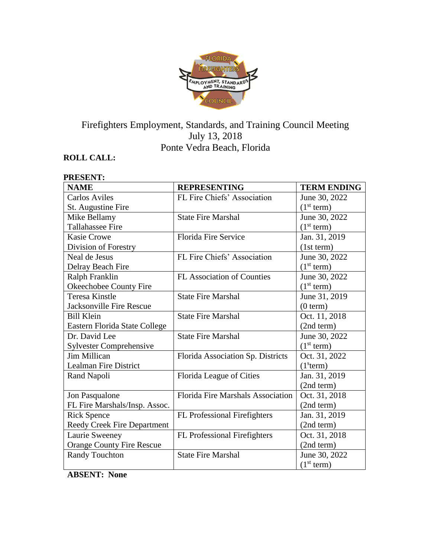

# Firefighters Employment, Standards, and Training Council Meeting July 13, 2018 Ponte Vedra Beach, Florida

# **ROLL CALL:**

**PRESENT:**

| PRESENT:                           |                                          |                        |
|------------------------------------|------------------------------------------|------------------------|
| <b>NAME</b>                        | <b>REPRESENTING</b>                      | <b>TERM ENDING</b>     |
| <b>Carlos Aviles</b>               | FL Fire Chiefs' Association              | June 30, 2022          |
| St. Augustine Fire                 |                                          | (1 <sup>st</sup> term) |
| Mike Bellamy                       | <b>State Fire Marshal</b>                | June 30, 2022          |
| <b>Tallahassee Fire</b>            |                                          | (1 <sup>st</sup> term) |
| <b>Kasie Crowe</b>                 | <b>Florida Fire Service</b>              | Jan. 31, 2019          |
| Division of Forestry               |                                          | (1st term)             |
| Neal de Jesus                      | FL Fire Chiefs' Association              | June 30, 2022          |
| Delray Beach Fire                  |                                          | (1 <sup>st</sup> term) |
| Ralph Franklin                     | FL Association of Counties               | June 30, 2022          |
| Okeechobee County Fire             |                                          | (1 <sup>st</sup> term) |
| Teresa Kinstle                     | <b>State Fire Marshal</b>                | June 31, 2019          |
| <b>Jacksonville Fire Rescue</b>    |                                          | (0 term)               |
| <b>Bill Klein</b>                  | <b>State Fire Marshal</b>                | Oct. 11, 2018          |
| Eastern Florida State College      |                                          | (2nd term)             |
| Dr. David Lee                      | <b>State Fire Marshal</b>                | June 30, 2022          |
| <b>Sylvester Comprehensive</b>     |                                          | (1 <sup>st</sup> term) |
| <b>Jim Millican</b>                | Florida Association Sp. Districts        | Oct. 31, 2022          |
| Lealman Fire District              |                                          | (1 <sup>s</sup> term)  |
| Rand Napoli                        | Florida League of Cities                 | Jan. 31, 2019          |
|                                    |                                          | (2nd term)             |
| Jon Pasqualone                     | <b>Florida Fire Marshals Association</b> | Oct. 31, 2018          |
| FL Fire Marshals/Insp. Assoc.      |                                          | (2nd term)             |
| <b>Rick Spence</b>                 | FL Professional Firefighters             | Jan. 31, 2019          |
| <b>Reedy Creek Fire Department</b> |                                          | (2nd term)             |
| Laurie Sweeney                     | FL Professional Firefighters             | Oct. 31, 2018          |
| <b>Orange County Fire Rescue</b>   |                                          | (2nd term)             |
| <b>Randy Touchton</b>              | <b>State Fire Marshal</b>                | June 30, 2022          |
|                                    |                                          | (1 <sup>st</sup> term) |

**ABSENT: None**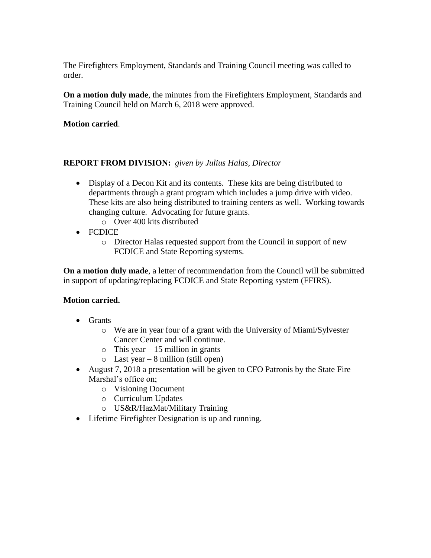The Firefighters Employment, Standards and Training Council meeting was called to order.

**On a motion duly made**, the minutes from the Firefighters Employment, Standards and Training Council held on March 6, 2018 were approved.

**Motion carried**.

#### **REPORT FROM DIVISION:** *given by Julius Halas, Director*

- Display of a Decon Kit and its contents. These kits are being distributed to departments through a grant program which includes a jump drive with video. These kits are also being distributed to training centers as well. Working towards changing culture. Advocating for future grants.
	- o Over 400 kits distributed
- FCDICE
	- o Director Halas requested support from the Council in support of new FCDICE and State Reporting systems.

**On a motion duly made**, a letter of recommendation from the Council will be submitted in support of updating/replacing FCDICE and State Reporting system (FFIRS).

#### **Motion carried.**

- Grants
	- o We are in year four of a grant with the University of Miami/Sylvester Cancer Center and will continue.
	- $\circ$  This year 15 million in grants
	- o Last year 8 million (still open)
- August 7, 2018 a presentation will be given to CFO Patronis by the State Fire Marshal's office on;
	- o Visioning Document
	- o Curriculum Updates
	- o US&R/HazMat/Military Training
- Lifetime Firefighter Designation is up and running.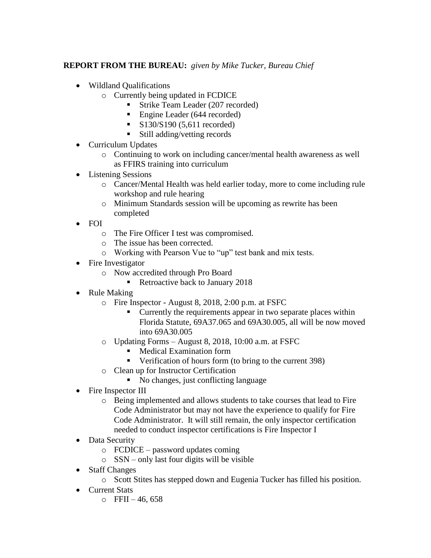## **REPORT FROM THE BUREAU:** *given by Mike Tucker, Bureau Chief*

- Wildland Qualifications
	- o Currently being updated in FCDICE
		- Strike Team Leader (207 recorded)
		- Engine Leader (644 recorded)
		- $\blacksquare$  S130/S190 (5.611 recorded)
		- Still adding/vetting records
- Curriculum Updates
	- o Continuing to work on including cancer/mental health awareness as well as FFIRS training into curriculum
- Listening Sessions
	- o Cancer/Mental Health was held earlier today, more to come including rule workshop and rule hearing
	- o Minimum Standards session will be upcoming as rewrite has been completed
- FOI
	- o The Fire Officer I test was compromised.
	- o The issue has been corrected.
	- o Working with Pearson Vue to "up" test bank and mix tests.
- Fire Investigator
	- o Now accredited through Pro Board
		- Retroactive back to January 2018
- Rule Making
	- o Fire Inspector August 8, 2018, 2:00 p.m. at FSFC
		- Currently the requirements appear in two separate places within Florida Statute, 69A37.065 and 69A30.005, all will be now moved into 69A30.005
	- o Updating Forms August 8, 2018, 10:00 a.m. at FSFC
		- Medical Examination form
		- Verification of hours form (to bring to the current 398)
	- o Clean up for Instructor Certification
		- No changes, just conflicting language
- Fire Inspector III
	- o Being implemented and allows students to take courses that lead to Fire Code Administrator but may not have the experience to qualify for Fire Code Administrator. It will still remain, the only inspector certification needed to conduct inspector certifications is Fire Inspector I
- Data Security
	- o FCDICE password updates coming
	- o SSN only last four digits will be visible
- Staff Changes
	- o Scott Stites has stepped down and Eugenia Tucker has filled his position.
- Current Stats
	- $O$  FFII 46, 658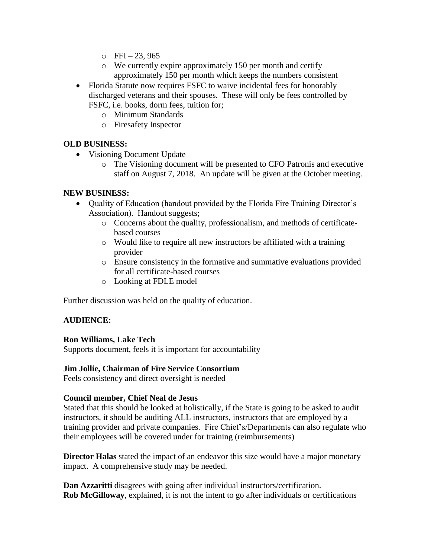- $O$  FFI $-23, 965$
- o We currently expire approximately 150 per month and certify approximately 150 per month which keeps the numbers consistent
- Florida Statute now requires FSFC to waive incidental fees for honorably discharged veterans and their spouses. These will only be fees controlled by FSFC, i.e. books, dorm fees, tuition for;
	- o Minimum Standards
	- o Firesafety Inspector

### **OLD BUSINESS:**

- Visioning Document Update
	- o The Visioning document will be presented to CFO Patronis and executive staff on August 7, 2018. An update will be given at the October meeting.

#### **NEW BUSINESS:**

- Quality of Education (handout provided by the Florida Fire Training Director's Association). Handout suggests;
	- o Concerns about the quality, professionalism, and methods of certificatebased courses
	- o Would like to require all new instructors be affiliated with a training provider
	- o Ensure consistency in the formative and summative evaluations provided for all certificate-based courses
	- o Looking at FDLE model

Further discussion was held on the quality of education.

#### **AUDIENCE:**

#### **Ron Williams, Lake Tech**

Supports document, feels it is important for accountability

# **Jim Jollie, Chairman of Fire Service Consortium**

Feels consistency and direct oversight is needed

#### **Council member, Chief Neal de Jesus**

Stated that this should be looked at holistically, if the State is going to be asked to audit instructors, it should be auditing ALL instructors, instructors that are employed by a training provider and private companies. Fire Chief's/Departments can also regulate who their employees will be covered under for training (reimbursements)

**Director Halas** stated the impact of an endeavor this size would have a major monetary impact. A comprehensive study may be needed.

**Dan Azzaritti** disagrees with going after individual instructors/certification. **Rob McGilloway**, explained, it is not the intent to go after individuals or certifications